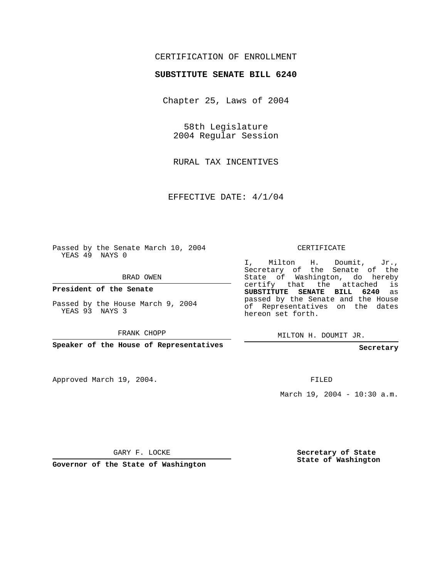## CERTIFICATION OF ENROLLMENT

## **SUBSTITUTE SENATE BILL 6240**

Chapter 25, Laws of 2004

58th Legislature 2004 Regular Session

RURAL TAX INCENTIVES

EFFECTIVE DATE: 4/1/04

Passed by the Senate March 10, 2004 YEAS 49 NAYS 0

BRAD OWEN

**President of the Senate**

Passed by the House March 9, 2004 YEAS 93 NAYS 3

FRANK CHOPP

**Speaker of the House of Representatives**

Approved March 19, 2004.

CERTIFICATE

I, Milton H. Doumit, Jr., Secretary of the Senate of the State of Washington, do hereby certify that the attached is **SUBSTITUTE SENATE BILL 6240** as passed by the Senate and the House of Representatives on the dates hereon set forth.

MILTON H. DOUMIT JR.

**Secretary**

FILED

March 19, 2004 - 10:30 a.m.

GARY F. LOCKE

**Governor of the State of Washington**

**Secretary of State State of Washington**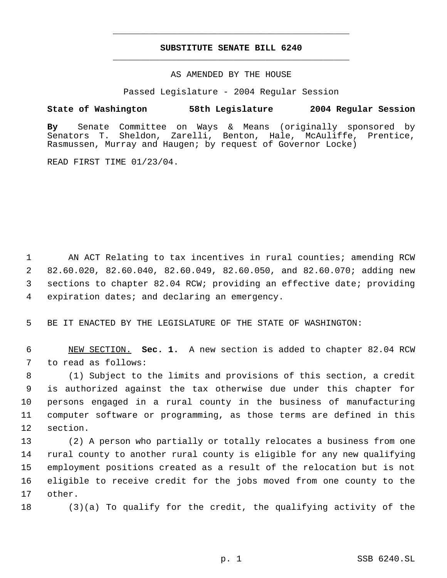## **SUBSTITUTE SENATE BILL 6240** \_\_\_\_\_\_\_\_\_\_\_\_\_\_\_\_\_\_\_\_\_\_\_\_\_\_\_\_\_\_\_\_\_\_\_\_\_\_\_\_\_\_\_\_\_

\_\_\_\_\_\_\_\_\_\_\_\_\_\_\_\_\_\_\_\_\_\_\_\_\_\_\_\_\_\_\_\_\_\_\_\_\_\_\_\_\_\_\_\_\_

AS AMENDED BY THE HOUSE

Passed Legislature - 2004 Regular Session

## **State of Washington 58th Legislature 2004 Regular Session**

**By** Senate Committee on Ways & Means (originally sponsored by Sheldon, Zarelli, Benton, Hale, McAuliffe, Prentice, Rasmussen, Murray and Haugen; by request of Governor Locke)

READ FIRST TIME 01/23/04.

1 AN ACT Relating to tax incentives in rural counties; amending RCW 82.60.020, 82.60.040, 82.60.049, 82.60.050, and 82.60.070; adding new sections to chapter 82.04 RCW; providing an effective date; providing expiration dates; and declaring an emergency.

5 BE IT ENACTED BY THE LEGISLATURE OF THE STATE OF WASHINGTON:

 6 NEW SECTION. **Sec. 1.** A new section is added to chapter 82.04 RCW 7 to read as follows:

 (1) Subject to the limits and provisions of this section, a credit is authorized against the tax otherwise due under this chapter for persons engaged in a rural county in the business of manufacturing computer software or programming, as those terms are defined in this 12 section.

 (2) A person who partially or totally relocates a business from one rural county to another rural county is eligible for any new qualifying employment positions created as a result of the relocation but is not eligible to receive credit for the jobs moved from one county to the 17 other.

18 (3)(a) To qualify for the credit, the qualifying activity of the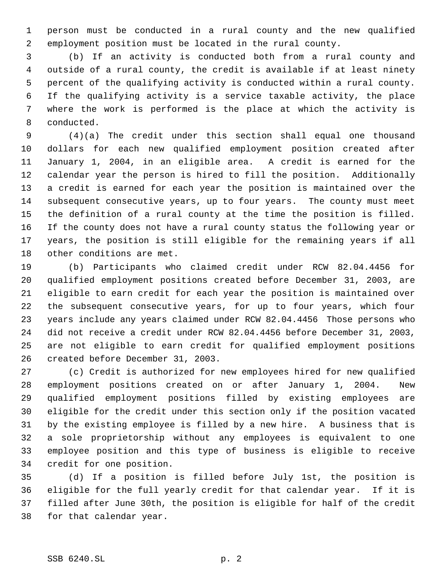person must be conducted in a rural county and the new qualified employment position must be located in the rural county.

 (b) If an activity is conducted both from a rural county and outside of a rural county, the credit is available if at least ninety percent of the qualifying activity is conducted within a rural county. If the qualifying activity is a service taxable activity, the place where the work is performed is the place at which the activity is conducted.

 (4)(a) The credit under this section shall equal one thousand dollars for each new qualified employment position created after January 1, 2004, in an eligible area. A credit is earned for the calendar year the person is hired to fill the position. Additionally a credit is earned for each year the position is maintained over the subsequent consecutive years, up to four years. The county must meet the definition of a rural county at the time the position is filled. If the county does not have a rural county status the following year or years, the position is still eligible for the remaining years if all other conditions are met.

 (b) Participants who claimed credit under RCW 82.04.4456 for qualified employment positions created before December 31, 2003, are eligible to earn credit for each year the position is maintained over the subsequent consecutive years, for up to four years, which four years include any years claimed under RCW 82.04.4456 Those persons who did not receive a credit under RCW 82.04.4456 before December 31, 2003, are not eligible to earn credit for qualified employment positions created before December 31, 2003.

 (c) Credit is authorized for new employees hired for new qualified employment positions created on or after January 1, 2004. New qualified employment positions filled by existing employees are eligible for the credit under this section only if the position vacated by the existing employee is filled by a new hire. A business that is a sole proprietorship without any employees is equivalent to one employee position and this type of business is eligible to receive credit for one position.

 (d) If a position is filled before July 1st, the position is eligible for the full yearly credit for that calendar year. If it is filled after June 30th, the position is eligible for half of the credit for that calendar year.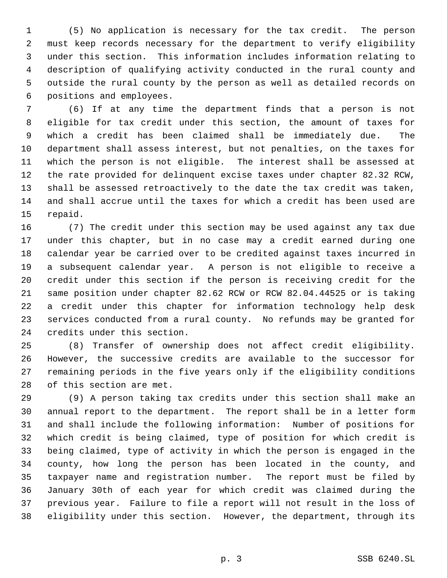(5) No application is necessary for the tax credit. The person must keep records necessary for the department to verify eligibility under this section. This information includes information relating to description of qualifying activity conducted in the rural county and outside the rural county by the person as well as detailed records on positions and employees.

 (6) If at any time the department finds that a person is not eligible for tax credit under this section, the amount of taxes for which a credit has been claimed shall be immediately due. The department shall assess interest, but not penalties, on the taxes for which the person is not eligible. The interest shall be assessed at the rate provided for delinquent excise taxes under chapter 82.32 RCW, shall be assessed retroactively to the date the tax credit was taken, and shall accrue until the taxes for which a credit has been used are repaid.

 (7) The credit under this section may be used against any tax due under this chapter, but in no case may a credit earned during one calendar year be carried over to be credited against taxes incurred in a subsequent calendar year. A person is not eligible to receive a credit under this section if the person is receiving credit for the same position under chapter 82.62 RCW or RCW 82.04.44525 or is taking a credit under this chapter for information technology help desk services conducted from a rural county. No refunds may be granted for credits under this section.

 (8) Transfer of ownership does not affect credit eligibility. However, the successive credits are available to the successor for remaining periods in the five years only if the eligibility conditions of this section are met.

 (9) A person taking tax credits under this section shall make an annual report to the department. The report shall be in a letter form and shall include the following information: Number of positions for which credit is being claimed, type of position for which credit is being claimed, type of activity in which the person is engaged in the county, how long the person has been located in the county, and taxpayer name and registration number. The report must be filed by January 30th of each year for which credit was claimed during the previous year. Failure to file a report will not result in the loss of eligibility under this section. However, the department, through its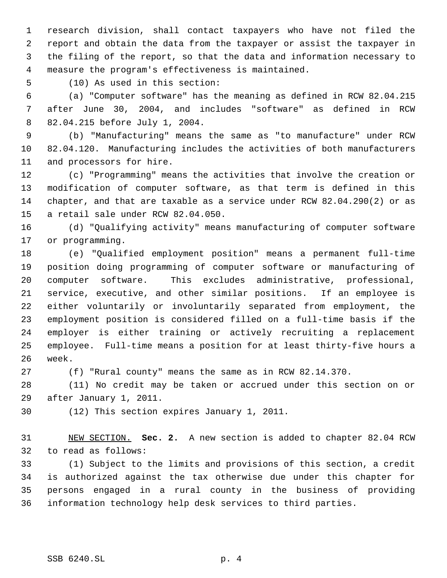research division, shall contact taxpayers who have not filed the report and obtain the data from the taxpayer or assist the taxpayer in the filing of the report, so that the data and information necessary to measure the program's effectiveness is maintained.

(10) As used in this section:

 (a) "Computer software" has the meaning as defined in RCW 82.04.215 after June 30, 2004, and includes "software" as defined in RCW 82.04.215 before July 1, 2004.

 (b) "Manufacturing" means the same as "to manufacture" under RCW 82.04.120. Manufacturing includes the activities of both manufacturers and processors for hire.

 (c) "Programming" means the activities that involve the creation or modification of computer software, as that term is defined in this chapter, and that are taxable as a service under RCW 82.04.290(2) or as a retail sale under RCW 82.04.050.

 (d) "Qualifying activity" means manufacturing of computer software or programming.

 (e) "Qualified employment position" means a permanent full-time position doing programming of computer software or manufacturing of computer software. This excludes administrative, professional, service, executive, and other similar positions. If an employee is either voluntarily or involuntarily separated from employment, the employment position is considered filled on a full-time basis if the employer is either training or actively recruiting a replacement employee. Full-time means a position for at least thirty-five hours a week.

(f) "Rural county" means the same as in RCW 82.14.370.

 (11) No credit may be taken or accrued under this section on or after January 1, 2011.

(12) This section expires January 1, 2011.

 NEW SECTION. **Sec. 2.** A new section is added to chapter 82.04 RCW to read as follows:

 (1) Subject to the limits and provisions of this section, a credit is authorized against the tax otherwise due under this chapter for persons engaged in a rural county in the business of providing information technology help desk services to third parties.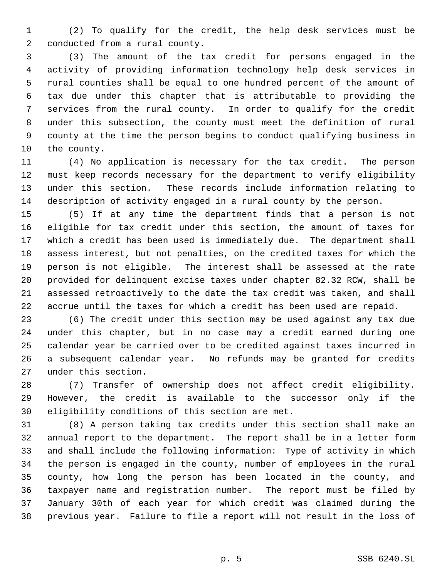(2) To qualify for the credit, the help desk services must be conducted from a rural county.

 (3) The amount of the tax credit for persons engaged in the activity of providing information technology help desk services in rural counties shall be equal to one hundred percent of the amount of tax due under this chapter that is attributable to providing the services from the rural county. In order to qualify for the credit under this subsection, the county must meet the definition of rural county at the time the person begins to conduct qualifying business in the county.

 (4) No application is necessary for the tax credit. The person must keep records necessary for the department to verify eligibility under this section. These records include information relating to description of activity engaged in a rural county by the person.

 (5) If at any time the department finds that a person is not eligible for tax credit under this section, the amount of taxes for which a credit has been used is immediately due. The department shall assess interest, but not penalties, on the credited taxes for which the person is not eligible. The interest shall be assessed at the rate provided for delinquent excise taxes under chapter 82.32 RCW, shall be assessed retroactively to the date the tax credit was taken, and shall accrue until the taxes for which a credit has been used are repaid.

 (6) The credit under this section may be used against any tax due under this chapter, but in no case may a credit earned during one calendar year be carried over to be credited against taxes incurred in a subsequent calendar year. No refunds may be granted for credits under this section.

 (7) Transfer of ownership does not affect credit eligibility. However, the credit is available to the successor only if the eligibility conditions of this section are met.

 (8) A person taking tax credits under this section shall make an annual report to the department. The report shall be in a letter form and shall include the following information: Type of activity in which the person is engaged in the county, number of employees in the rural county, how long the person has been located in the county, and taxpayer name and registration number. The report must be filed by January 30th of each year for which credit was claimed during the previous year. Failure to file a report will not result in the loss of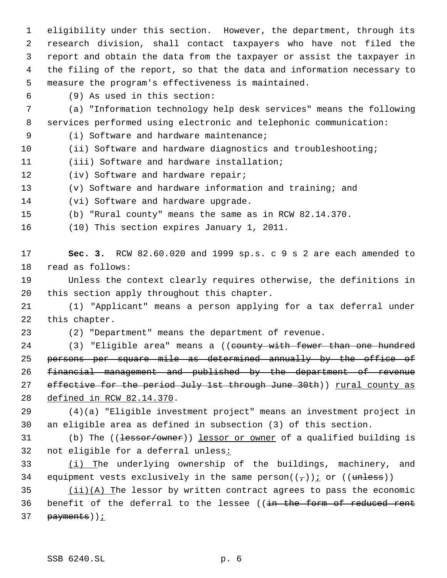eligibility under this section. However, the department, through its research division, shall contact taxpayers who have not filed the report and obtain the data from the taxpayer or assist the taxpayer in the filing of the report, so that the data and information necessary to measure the program's effectiveness is maintained.

(9) As used in this section:

 (a) "Information technology help desk services" means the following services performed using electronic and telephonic communication:

(i) Software and hardware maintenance;

10 (ii) Software and hardware diagnostics and troubleshooting;

(iii) Software and hardware installation;

(iv) Software and hardware repair;

(v) Software and hardware information and training; and

(vi) Software and hardware upgrade.

(b) "Rural county" means the same as in RCW 82.14.370.

(10) This section expires January 1, 2011.

 **Sec. 3.** RCW 82.60.020 and 1999 sp.s. c 9 s 2 are each amended to read as follows:

 Unless the context clearly requires otherwise, the definitions in this section apply throughout this chapter.

 (1) "Applicant" means a person applying for a tax deferral under this chapter.

(2) "Department" means the department of revenue.

24 (3) "Eligible area" means a ((county with fewer than one hundred persons per square mile as determined annually by the office of financial management and published by the department of revenue 27 effective for the period July 1st through June 30th)) rural county as defined in RCW 82.14.370.

 (4)(a) "Eligible investment project" means an investment project in an eligible area as defined in subsection (3) of this section.

31 (b) The ((lessor/owner)) lessor or owner of a qualified building is not eligible for a deferral unless:

33 (i) The underlying ownership of the buildings, machinery, and 34 equipment vests exclusively in the same person $((\tau))$  or  $((\text{unless}))$ 

 $(iii)(A)$  The lessor by written contract agrees to pass the economic 36 benefit of the deferral to the lessee ((in the form of reduced rent 37 payments)) ;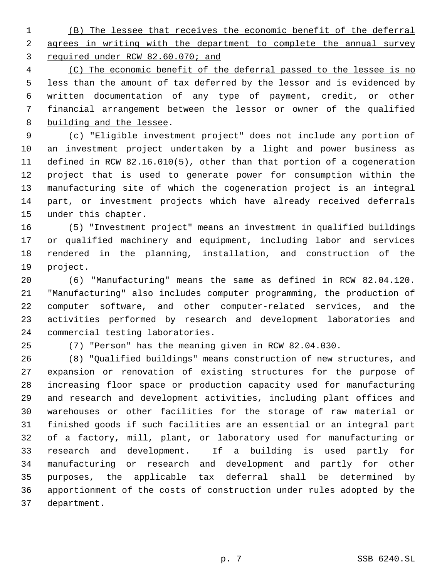(B) The lessee that receives the economic benefit of the deferral 2 agrees in writing with the department to complete the annual survey required under RCW 82.60.070; and

 (C) The economic benefit of the deferral passed to the lessee is no 5 less than the amount of tax deferred by the lessor and is evidenced by written documentation of any type of payment, credit, or other financial arrangement between the lessor or owner of the qualified building and the lessee.

 (c) "Eligible investment project" does not include any portion of an investment project undertaken by a light and power business as defined in RCW 82.16.010(5), other than that portion of a cogeneration project that is used to generate power for consumption within the manufacturing site of which the cogeneration project is an integral part, or investment projects which have already received deferrals under this chapter.

 (5) "Investment project" means an investment in qualified buildings or qualified machinery and equipment, including labor and services rendered in the planning, installation, and construction of the project.

 (6) "Manufacturing" means the same as defined in RCW 82.04.120. "Manufacturing" also includes computer programming, the production of computer software, and other computer-related services, and the activities performed by research and development laboratories and commercial testing laboratories.

(7) "Person" has the meaning given in RCW 82.04.030.

 (8) "Qualified buildings" means construction of new structures, and expansion or renovation of existing structures for the purpose of increasing floor space or production capacity used for manufacturing and research and development activities, including plant offices and warehouses or other facilities for the storage of raw material or finished goods if such facilities are an essential or an integral part of a factory, mill, plant, or laboratory used for manufacturing or research and development. If a building is used partly for manufacturing or research and development and partly for other purposes, the applicable tax deferral shall be determined by apportionment of the costs of construction under rules adopted by the department.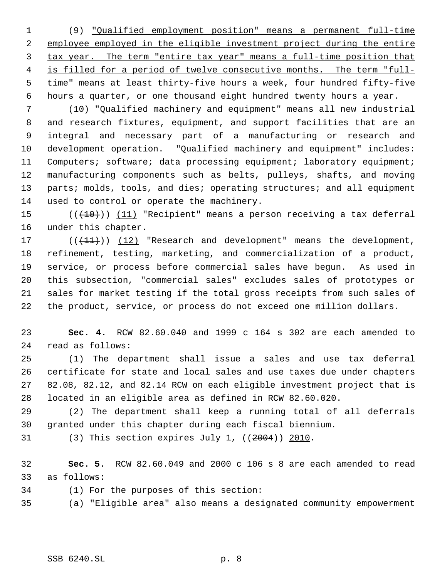(9) "Qualified employment position" means a permanent full-time employee employed in the eligible investment project during the entire tax year. The term "entire tax year" means a full-time position that 4 is filled for a period of twelve consecutive months. The term "full- time" means at least thirty-five hours a week, four hundred fifty-five hours a quarter, or one thousand eight hundred twenty hours a year.

 (10) "Qualified machinery and equipment" means all new industrial and research fixtures, equipment, and support facilities that are an integral and necessary part of a manufacturing or research and development operation. "Qualified machinery and equipment" includes: Computers; software; data processing equipment; laboratory equipment; manufacturing components such as belts, pulleys, shafts, and moving 13 parts; molds, tools, and dies; operating structures; and all equipment used to control or operate the machinery.

15  $((+10))$   $(11)$  "Recipient" means a person receiving a tax deferral under this chapter.

17 (((+1+))) (12) "Research and development" means the development, refinement, testing, marketing, and commercialization of a product, service, or process before commercial sales have begun. As used in this subsection, "commercial sales" excludes sales of prototypes or sales for market testing if the total gross receipts from such sales of the product, service, or process do not exceed one million dollars.

 **Sec. 4.** RCW 82.60.040 and 1999 c 164 s 302 are each amended to read as follows:

 (1) The department shall issue a sales and use tax deferral certificate for state and local sales and use taxes due under chapters 82.08, 82.12, and 82.14 RCW on each eligible investment project that is located in an eligible area as defined in RCW 82.60.020.

 (2) The department shall keep a running total of all deferrals granted under this chapter during each fiscal biennium.

(3) This section expires July 1, ((2004)) 2010.

 **Sec. 5.** RCW 82.60.049 and 2000 c 106 s 8 are each amended to read as follows:

(1) For the purposes of this section:

(a) "Eligible area" also means a designated community empowerment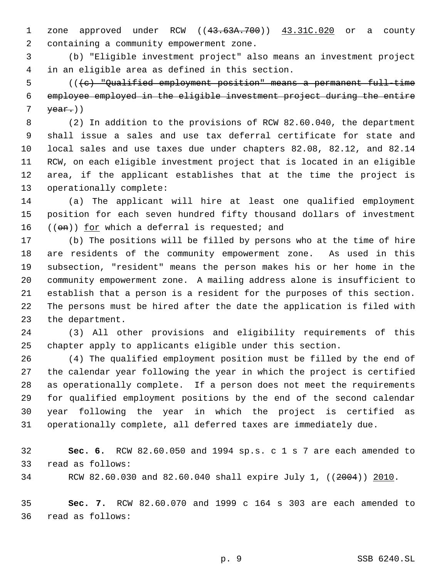1 zone approved under RCW ((43.63A.700)) 43.31C.020 or a county containing a community empowerment zone.

 (b) "Eligible investment project" also means an investment project in an eligible area as defined in this section.

 (((c) "Qualified employment position" means a permanent full-time employee employed in the eligible investment project during the entire  $\text{year.}$ )

 (2) In addition to the provisions of RCW 82.60.040, the department shall issue a sales and use tax deferral certificate for state and local sales and use taxes due under chapters 82.08, 82.12, and 82.14 RCW, on each eligible investment project that is located in an eligible area, if the applicant establishes that at the time the project is operationally complete:

 (a) The applicant will hire at least one qualified employment position for each seven hundred fifty thousand dollars of investment 16  $((en))$  for which a deferral is requested; and

 (b) The positions will be filled by persons who at the time of hire are residents of the community empowerment zone. As used in this subsection, "resident" means the person makes his or her home in the community empowerment zone. A mailing address alone is insufficient to establish that a person is a resident for the purposes of this section. The persons must be hired after the date the application is filed with the department.

 (3) All other provisions and eligibility requirements of this chapter apply to applicants eligible under this section.

 (4) The qualified employment position must be filled by the end of the calendar year following the year in which the project is certified as operationally complete. If a person does not meet the requirements for qualified employment positions by the end of the second calendar year following the year in which the project is certified as operationally complete, all deferred taxes are immediately due.

 **Sec. 6.** RCW 82.60.050 and 1994 sp.s. c 1 s 7 are each amended to read as follows:

RCW 82.60.030 and 82.60.040 shall expire July 1, ((2004)) 2010.

 **Sec. 7.** RCW 82.60.070 and 1999 c 164 s 303 are each amended to read as follows: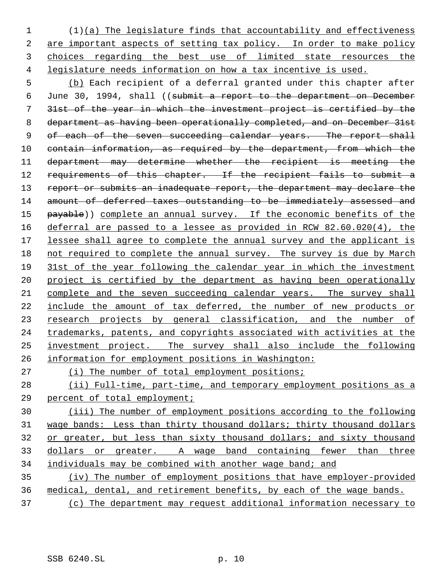(1)(a) The legislature finds that accountability and effectiveness 2 are important aspects of setting tax policy. In order to make policy choices regarding the best use of limited state resources the legislature needs information on how a tax incentive is used.

 (b) Each recipient of a deferral granted under this chapter after June 30, 1994, shall ((submit a report to the department on December 31st of the year in which the investment project is certified by the department as having been operationally completed, and on December 31st 9 of each of the seven succeeding calendar years. The report shall contain information, as required by the department, from which the department may determine whether the recipient is meeting the 12 requirements of this chapter. If the recipient fails to submit a 13 report or submits an inadequate report, the department may declare the amount of deferred taxes outstanding to be immediately assessed and 15 payable)) complete an annual survey. If the economic benefits of the deferral are passed to a lessee as provided in RCW 82.60.020(4), the 17 lessee shall agree to complete the annual survey and the applicant is 18 not required to complete the annual survey. The survey is due by March 31st of the year following the calendar year in which the investment project is certified by the department as having been operationally complete and the seven succeeding calendar years. The survey shall include the amount of tax deferred, the number of new products or 23 research projects by general classification, and the number of 24 trademarks, patents, and copyrights associated with activities at the investment project. The survey shall also include the following information for employment positions in Washington:

(i) The number of total employment positions;

 (ii) Full-time, part-time, and temporary employment positions as a percent of total employment;

 (iii) The number of employment positions according to the following wage bands: Less than thirty thousand dollars; thirty thousand dollars or greater, but less than sixty thousand dollars; and sixty thousand dollars or greater. A wage band containing fewer than three individuals may be combined with another wage band; and

 (iv) The number of employment positions that have employer-provided medical, dental, and retirement benefits, by each of the wage bands.

(c) The department may request additional information necessary to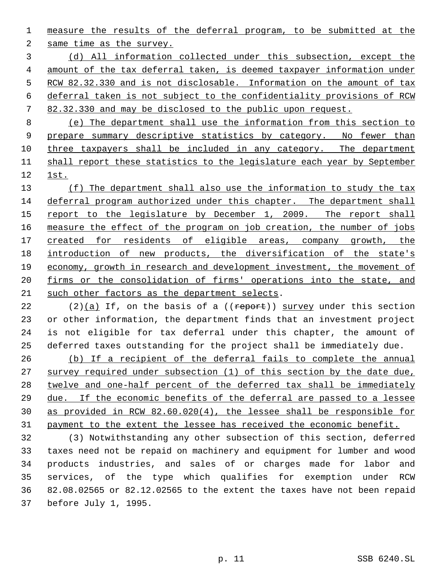measure the results of the deferral program, to be submitted at the same time as the survey.

 (d) All information collected under this subsection, except the amount of the tax deferral taken, is deemed taxpayer information under 5 RCW 82.32.330 and is not disclosable. Information on the amount of tax deferral taken is not subject to the confidentiality provisions of RCW 82.32.330 and may be disclosed to the public upon request.

 (e) The department shall use the information from this section to 9 prepare summary descriptive statistics by category. No fewer than three taxpayers shall be included in any category. The department shall report these statistics to the legislature each year by September 1st.

13 (f) The department shall also use the information to study the tax deferral program authorized under this chapter. The department shall 15 report to the legislature by December 1, 2009. The report shall measure the effect of the program on job creation, the number of jobs created for residents of eligible areas, company growth, the 18 introduction of new products, the diversification of the state's economy, growth in research and development investment, the movement of 20 firms or the consolidation of firms' operations into the state, and such other factors as the department selects.

22 (2)(a) If, on the basis of a ( $($ report)) survey under this section or other information, the department finds that an investment project is not eligible for tax deferral under this chapter, the amount of deferred taxes outstanding for the project shall be immediately due.

 (b) If a recipient of the deferral fails to complete the annual survey required under subsection (1) of this section by the date due, twelve and one-half percent of the deferred tax shall be immediately due. If the economic benefits of the deferral are passed to a lessee as provided in RCW 82.60.020(4), the lessee shall be responsible for payment to the extent the lessee has received the economic benefit.

 (3) Notwithstanding any other subsection of this section, deferred taxes need not be repaid on machinery and equipment for lumber and wood products industries, and sales of or charges made for labor and services, of the type which qualifies for exemption under RCW 82.08.02565 or 82.12.02565 to the extent the taxes have not been repaid before July 1, 1995.